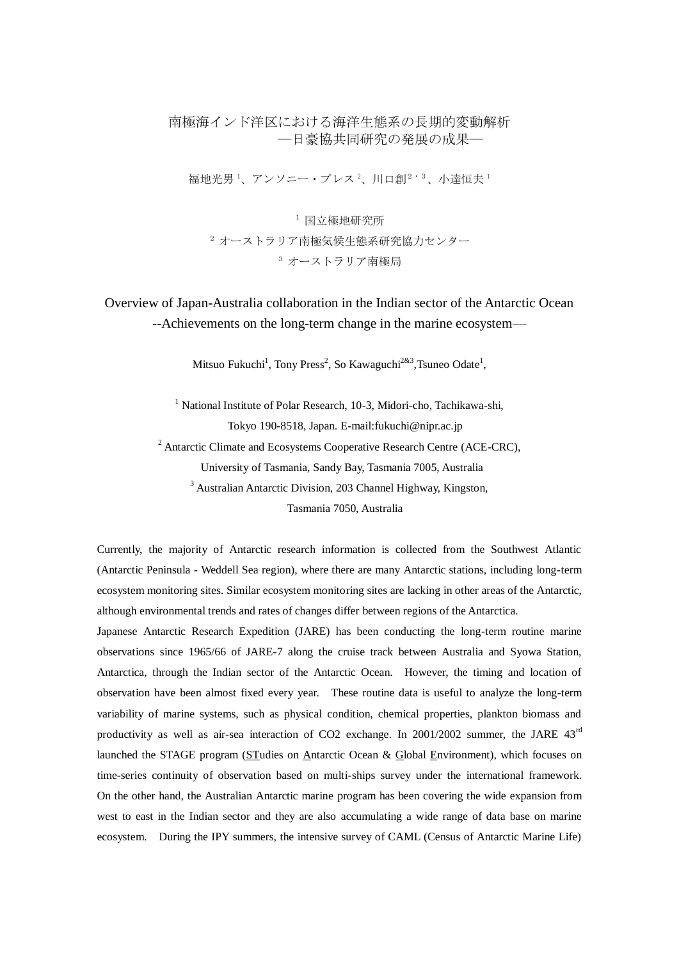## 南極海インド洋区における海洋生態系の長期的変動解析 ―日豪協共同研究の発展の成果―

福地光男<sup>1</sup>、アンソニー・プレス<sup>2</sup>、川口創<sup>2・3</sup>、小達恒夫<sup>1</sup>

<sup>1</sup> 国立極地研究所

<sup>2</sup> オーストラリア南極気候生態系研究協力センター <sup>3</sup> オーストラリア南極局

Overview of Japan-Australia collaboration in the Indian sector of the Antarctic Ocean --Achievements on the long-term change in the marine ecosystem—

Mitsuo Fukuchi<sup>1</sup>, Tony Press<sup>2</sup>, So Kawaguchi<sup>2&3</sup>, Tsuneo Odate<sup>1</sup>,

<sup>1</sup> National Institute of Polar Research, 10-3, Midori-cho, Tachikawa-shi, Tokyo 190-8518, Japan. E-mail:fukuchi@nipr.ac.jp

<sup>2</sup> Antarctic Climate and Ecosystems Cooperative Research Centre (ACE-CRC),

University of Tasmania, Sandy Bay, Tasmania 7005, Australia

<sup>3</sup> Australian Antarctic Division, 203 Channel Highway, Kingston,

Tasmania 7050, Australia

Currently, the majority of Antarctic research information is collected from the Southwest Atlantic (Antarctic Peninsula - Weddell Sea region), where there are many Antarctic stations, including long-term ecosystem monitoring sites. Similar ecosystem monitoring sites are lacking in other areas of the Antarctic, although environmental trends and rates of changes differ between regions of the Antarctica.

Japanese Antarctic Research Expedition (JARE) has been conducting the long-term routine marine observations since 1965/66 of JARE-7 along the cruise track between Australia and Syowa Station, Antarctica, through the Indian sector of the Antarctic Ocean. However, the timing and location of observation have been almost fixed every year. These routine data is useful to analyze the long-term variability of marine systems, such as physical condition, chemical properties, plankton biomass and productivity as well as air-sea interaction of CO2 exchange. In 2001/2002 summer, the JARE 43rd launched the STAGE program (STudies on Antarctic Ocean & Global Environment), which focuses on time-series continuity of observation based on multi-ships survey under the international framework. On the other hand, the Australian Antarctic marine program has been covering the wide expansion from west to east in the Indian sector and they are also accumulating a wide range of data base on marine ecosystem. During the IPY summers, the intensive survey of CAML (Census of Antarctic Marine Life)